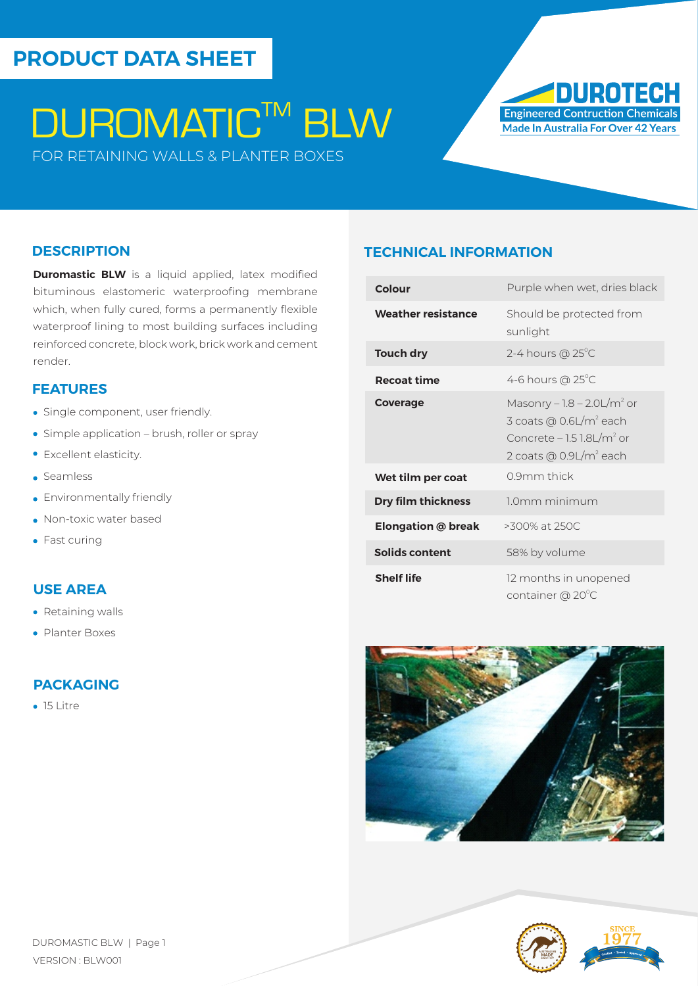# **PRODUCT DATA SHEET**

# **DUROMATIC™ BLW**

FOR RETAINING WALLS & PLANTER BOXES



#### **DESCRIPTION**

**Duromastic BLW** is a liquid applied, latex modified bituminous elastomeric waterproofing membrane which, when fully cured, forms a permanently flexible waterproof lining to most building surfaces including reinforced concrete, block work, brick work and cement render.

#### **FEATURES**

- Single component, user friendly.
- Simple application brush, roller or spray
- Excellent elasticity.
- Seamless
- **Environmentally friendly**
- Non-toxic water based
- Fast curing

#### **USE AREA**

- Retaining walls
- Planter Boxes

### **PACKAGING**

• 15 Litre

#### **TECHNICAL INFORMATION**

| Colour                    | Purple when wet, dries black                                                                                                                                |
|---------------------------|-------------------------------------------------------------------------------------------------------------------------------------------------------------|
| <b>Weather resistance</b> | Should be protected from<br>sunlight                                                                                                                        |
| <b>Touch dry</b>          | 2-4 hours $@$ 25 $^{\circ}$ C                                                                                                                               |
| <b>Recoat time</b>        | 4-6 hours $@25^{\circ}C$                                                                                                                                    |
| Coverage                  | Masonry $-1.8 - 2.0 L/m2$ or<br>3 coats @ $0.6$ L/m <sup>2</sup> each<br>Concrete $-1.5$ $1.8$ L/m <sup>2</sup> or<br>2 coats @ $0.9$ L/m <sup>2</sup> each |
| Wet tilm per coat         | 0.9mm thick                                                                                                                                                 |
| <b>Dry film thickness</b> | 10mm minimum                                                                                                                                                |
| <b>Elongation @ break</b> | $>300\%$ at 250C                                                                                                                                            |
| Solids content            | 58% by volume                                                                                                                                               |
| <b>Shelf life</b>         | 12 months in unopened<br>container @ 20°C                                                                                                                   |